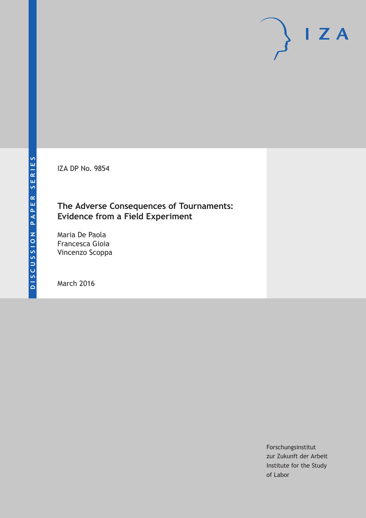IZA DP No. 9854

## **The Adverse Consequences of Tournaments: Evidence from a Field Experiment**

Maria De Paola Francesca Gioia Vincenzo Scoppa

March 2016

Forschungsinstitut zur Zukunft der Arbeit Institute for the Study of Labor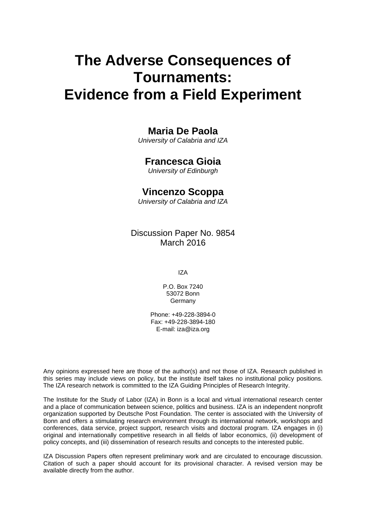# **The Adverse Consequences of Tournaments: Evidence from a Field Experiment**

## **Maria De Paola**

*University of Calabria and IZA* 

## **Francesca Gioia**

*University of Edinburgh* 

## **Vincenzo Scoppa**

*University of Calabria and IZA*

Discussion Paper No. 9854 March 2016

IZA

P.O. Box 7240 53072 Bonn Germany

Phone: +49-228-3894-0 Fax: +49-228-3894-180 E-mail: iza@iza.org

Any opinions expressed here are those of the author(s) and not those of IZA. Research published in this series may include views on policy, but the institute itself takes no institutional policy positions. The IZA research network is committed to the IZA Guiding Principles of Research Integrity.

The Institute for the Study of Labor (IZA) in Bonn is a local and virtual international research center and a place of communication between science, politics and business. IZA is an independent nonprofit organization supported by Deutsche Post Foundation. The center is associated with the University of Bonn and offers a stimulating research environment through its international network, workshops and conferences, data service, project support, research visits and doctoral program. IZA engages in (i) original and internationally competitive research in all fields of labor economics, (ii) development of policy concepts, and (iii) dissemination of research results and concepts to the interested public.

IZA Discussion Papers often represent preliminary work and are circulated to encourage discussion. Citation of such a paper should account for its provisional character. A revised version may be available directly from the author.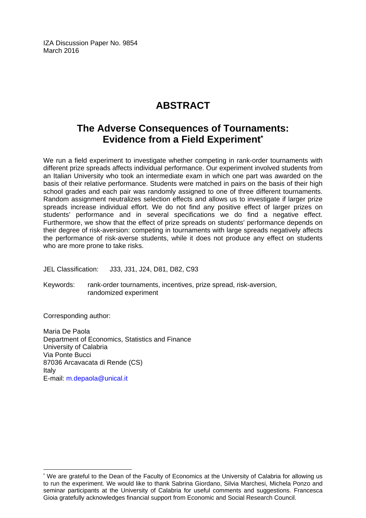IZA Discussion Paper No. 9854 March 2016

## **ABSTRACT**

## **The Adverse Consequences of Tournaments: Evidence from a Field Experiment\***

We run a field experiment to investigate whether competing in rank-order tournaments with different prize spreads affects individual performance. Our experiment involved students from an Italian University who took an intermediate exam in which one part was awarded on the basis of their relative performance. Students were matched in pairs on the basis of their high school grades and each pair was randomly assigned to one of three different tournaments. Random assignment neutralizes selection effects and allows us to investigate if larger prize spreads increase individual effort. We do not find any positive effect of larger prizes on students' performance and in several specifications we do find a negative effect. Furthermore, we show that the effect of prize spreads on students' performance depends on their degree of risk-aversion: competing in tournaments with large spreads negatively affects the performance of risk-averse students, while it does not produce any effect on students who are more prone to take risks.

JEL Classification: J33, J31, J24, D81, D82, C93

Keywords: rank-order tournaments, incentives, prize spread, risk-aversion, randomized experiment

Corresponding author:

 $\overline{\phantom{a}}$ 

Maria De Paola Department of Economics, Statistics and Finance University of Calabria Via Ponte Bucci 87036 Arcavacata di Rende (CS) Italy E-mail: m.depaola@unical.it

<sup>\*</sup> We are grateful to the Dean of the Faculty of Economics at the University of Calabria for allowing us to run the experiment. We would like to thank Sabrina Giordano, Silvia Marchesi, Michela Ponzo and seminar participants at the University of Calabria for useful comments and suggestions. Francesca Gioia gratefully acknowledges financial support from Economic and Social Research Council.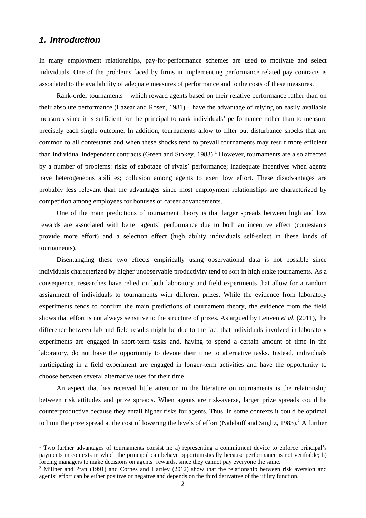### *1. Introduction*

In many employment relationships, pay-for-performance schemes are used to motivate and select individuals. One of the problems faced by firms in implementing performance related pay contracts is associated to the availability of adequate measures of performance and to the costs of these measures.

Rank-order tournaments – which reward agents based on their relative performance rather than on their absolute performance (Lazear and Rosen, 1981) – have the advantage of relying on easily available measures since it is sufficient for the principal to rank individuals' performance rather than to measure precisely each single outcome. In addition, tournaments allow to filter out disturbance shocks that are common to all contestants and when these shocks tend to prevail tournaments may result more efficient than individual independent contracts (Green and Stokey, 1983).<sup>1</sup> However, tournaments are also affected by a number of problems: risks of sabotage of rivals' performance; inadequate incentives when agents have heterogeneous abilities; collusion among agents to exert low effort. These disadvantages are probably less relevant than the advantages since most employment relationships are characterized by competition among employees for bonuses or career advancements.

One of the main predictions of tournament theory is that larger spreads between high and low rewards are associated with better agents' performance due to both an incentive effect (contestants provide more effort) and a selection effect (high ability individuals self-select in these kinds of tournaments).

Disentangling these two effects empirically using observational data is not possible since individuals characterized by higher unobservable productivity tend to sort in high stake tournaments. As a consequence, researches have relied on both laboratory and field experiments that allow for a random assignment of individuals to tournaments with different prizes. While the evidence from laboratory experiments tends to confirm the main predictions of tournament theory, the evidence from the field shows that effort is not always sensitive to the structure of prizes. As argued by Leuven *et al.* (2011), the difference between lab and field results might be due to the fact that individuals involved in laboratory experiments are engaged in short-term tasks and, having to spend a certain amount of time in the laboratory, do not have the opportunity to devote their time to alternative tasks. Instead, individuals participating in a field experiment are engaged in longer-term activities and have the opportunity to choose between several alternative uses for their time.

An aspect that has received little attention in the literature on tournaments is the relationship between risk attitudes and prize spreads. When agents are risk-averse, larger prize spreads could be counterproductive because they entail higher risks for agents. Thus, in some contexts it could be optimal to limit the prize spread at the cost of lowering the levels of effort (Nalebuff and Stigliz, 1983).<sup>2</sup> A further

<sup>1</sup> Two further advantages of tournaments consist in: a) representing a commitment device to enforce principal's payments in contexts in which the principal can behave opportunistically because performance is not verifiable; b) forcing managers to make decisions on agents' rewards, since they cannot pay everyone the same.

<sup>&</sup>lt;sup>2</sup> Millner and Pratt (1991) and Cornes and Hartley (2012) show that the relationship between risk aversion and agents' effort can be either positive or negative and depends on the third derivative of the utility function.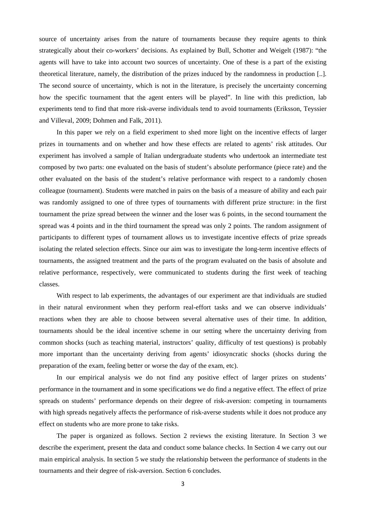source of uncertainty arises from the nature of tournaments because they require agents to think strategically about their co-workers' decisions. As explained by Bull, Schotter and Weigelt (1987): "the agents will have to take into account two sources of uncertainty. One of these is a part of the existing theoretical literature, namely, the distribution of the prizes induced by the randomness in production [..]. The second source of uncertainty, which is not in the literature, is precisely the uncertainty concerning how the specific tournament that the agent enters will be played". In line with this prediction, lab experiments tend to find that more risk-averse individuals tend to avoid tournaments (Eriksson, Teyssier and Villeval, 2009; Dohmen and Falk, 2011).

In this paper we rely on a field experiment to shed more light on the incentive effects of larger prizes in tournaments and on whether and how these effects are related to agents' risk attitudes. Our experiment has involved a sample of Italian undergraduate students who undertook an intermediate test composed by two parts: one evaluated on the basis of student's absolute performance (piece rate) and the other evaluated on the basis of the student's relative performance with respect to a randomly chosen colleague (tournament). Students were matched in pairs on the basis of a measure of ability and each pair was randomly assigned to one of three types of tournaments with different prize structure: in the first tournament the prize spread between the winner and the loser was 6 points, in the second tournament the spread was 4 points and in the third tournament the spread was only 2 points. The random assignment of participants to different types of tournament allows us to investigate incentive effects of prize spreads isolating the related selection effects. Since our aim was to investigate the long-term incentive effects of tournaments, the assigned treatment and the parts of the program evaluated on the basis of absolute and relative performance, respectively, were communicated to students during the first week of teaching classes.

With respect to lab experiments, the advantages of our experiment are that individuals are studied in their natural environment when they perform real-effort tasks and we can observe individuals' reactions when they are able to choose between several alternative uses of their time. In addition, tournaments should be the ideal incentive scheme in our setting where the uncertainty deriving from common shocks (such as teaching material, instructors' quality, difficulty of test questions) is probably more important than the uncertainty deriving from agents' idiosyncratic shocks (shocks during the preparation of the exam, feeling better or worse the day of the exam, etc).

In our empirical analysis we do not find any positive effect of larger prizes on students' performance in the tournament and in some specifications we do find a negative effect. The effect of prize spreads on students' performance depends on their degree of risk-aversion: competing in tournaments with high spreads negatively affects the performance of risk-averse students while it does not produce any effect on students who are more prone to take risks.

The paper is organized as follows. Section 2 reviews the existing literature. In Section 3 we describe the experiment, present the data and conduct some balance checks. In Section 4 we carry out our main empirical analysis. In section 5 we study the relationship between the performance of students in the tournaments and their degree of risk-aversion. Section 6 concludes.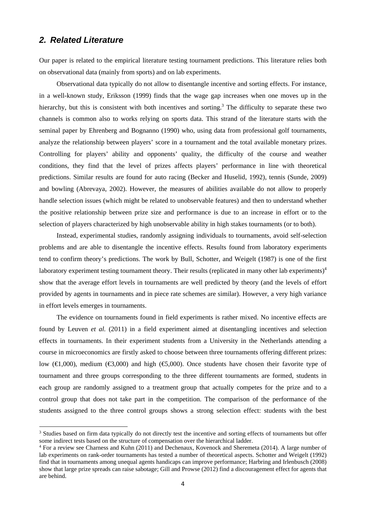### *2. Related Literature*

Our paper is related to the empirical literature testing tournament predictions. This literature relies both on observational data (mainly from sports) and on lab experiments.

Observational data typically do not allow to disentangle incentive and sorting effects. For instance, in a well-known study, Eriksson (1999) finds that the wage gap increases when one moves up in the hierarchy, but this is consistent with both incentives and sorting.<sup>3</sup> The difficulty to separate these two channels is common also to works relying on sports data. This strand of the literature starts with the seminal paper by Ehrenberg and Bognanno (1990) who, using data from professional golf tournaments, analyze the relationship between players' score in a tournament and the total available monetary prizes. Controlling for players' ability and opponents' quality, the difficulty of the course and weather conditions, they find that the level of prizes affects players' performance in line with theoretical predictions. Similar results are found for auto racing (Becker and Huselid, 1992), tennis (Sunde, 2009) and bowling (Abrevaya, 2002). However, the measures of abilities available do not allow to properly handle selection issues (which might be related to unobservable features) and then to understand whether the positive relationship between prize size and performance is due to an increase in effort or to the selection of players characterized by high unobservable ability in high stakes tournaments (or to both).

Instead, experimental studies, randomly assigning individuals to tournaments, avoid self-selection problems and are able to disentangle the incentive effects. Results found from laboratory experiments tend to confirm theory's predictions. The work by Bull, Schotter, and Weigelt (1987) is one of the first laboratory experiment testing tournament theory. Their results (replicated in many other lab experiments)<sup>4</sup> show that the average effort levels in tournaments are well predicted by theory (and the levels of effort provided by agents in tournaments and in piece rate schemes are similar). However, a very high variance in effort levels emerges in tournaments.

The evidence on tournaments found in field experiments is rather mixed. No incentive effects are found by Leuven *et al.* (2011) in a field experiment aimed at disentangling incentives and selection effects in tournaments. In their experiment students from a University in the Netherlands attending a course in microeconomics are firstly asked to choose between three tournaments offering different prizes: low ( $\in$ 1,000), medium ( $\in$ 3,000) and high ( $\in$ 5,000). Once students have chosen their favorite type of tournament and three groups corresponding to the three different tournaments are formed, students in each group are randomly assigned to a treatment group that actually competes for the prize and to a control group that does not take part in the competition. The comparison of the performance of the students assigned to the three control groups shows a strong selection effect: students with the best

<sup>&</sup>lt;sup>3</sup> Studies based on firm data typically do not directly test the incentive and sorting effects of tournaments but offer some indirect tests based on the structure of compensation over the hierarchical ladder. 4

<sup>&</sup>lt;sup>4</sup> For a review see Charness and Kuhn (2011) and Dechenaux, Kovenock and Sheremeta (2014). A large number of lab experiments on rank-order tournaments has tested a number of theoretical aspects. Schotter and Weigelt (1992) find that in tournaments among unequal agents handicaps can improve performance; Harbring and Irlenbusch (2008) show that large prize spreads can raise sabotage; Gill and Prowse (2012) find a discouragement effect for agents that are behind.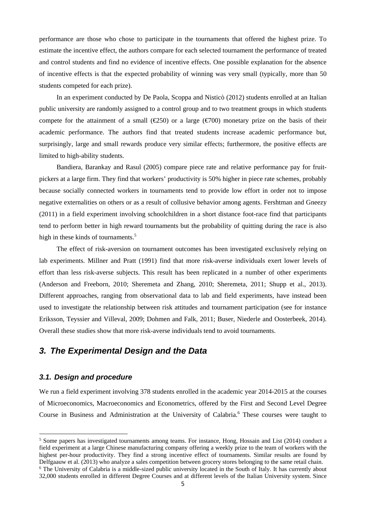performance are those who chose to participate in the tournaments that offered the highest prize. To estimate the incentive effect, the authors compare for each selected tournament the performance of treated and control students and find no evidence of incentive effects. One possible explanation for the absence of incentive effects is that the expected probability of winning was very small (typically, more than 50 students competed for each prize).

In an experiment conducted by De Paola, Scoppa and Nisticò (2012) students enrolled at an Italian public university are randomly assigned to a control group and to two treatment groups in which students compete for the attainment of a small ( $\text{\textcircled{250}}$ ) or a large ( $\text{\textcircled{f00}}$ ) monetary prize on the basis of their academic performance. The authors find that treated students increase academic performance but, surprisingly, large and small rewards produce very similar effects; furthermore, the positive effects are limited to high-ability students.

Bandiera, Barankay and Rasul (2005) compare piece rate and relative performance pay for fruitpickers at a large firm. They find that workers' productivity is 50% higher in piece rate schemes, probably because socially connected workers in tournaments tend to provide low effort in order not to impose negative externalities on others or as a result of collusive behavior among agents. Fershtman and Gneezy (2011) in a field experiment involving schoolchildren in a short distance foot-race find that participants tend to perform better in high reward tournaments but the probability of quitting during the race is also high in these kinds of tournaments.<sup>5</sup>

The effect of risk-aversion on tournament outcomes has been investigated exclusively relying on lab experiments. Millner and Pratt (1991) find that more risk-averse individuals exert lower levels of effort than less risk-averse subjects. This result has been replicated in a number of other experiments (Anderson and Freeborn, 2010; Sheremeta and Zhang, 2010; Sheremeta, 2011; Shupp et al., 2013). Different approaches, ranging from observational data to lab and field experiments, have instead been used to investigate the relationship between risk attitudes and tournament participation (see for instance Eriksson, Teyssier and Villeval, 2009; Dohmen and Falk, 2011; Buser, Niederle and Oosterbeek, 2014). Overall these studies show that more risk-averse individuals tend to avoid tournaments.

## *3. The Experimental Design and the Data*

#### *3.1. Design and procedure*

We run a field experiment involving 378 students enrolled in the academic year 2014-2015 at the courses of Microeconomics, Macroeconomics and Econometrics, offered by the First and Second Level Degree Course in Business and Administration at the University of Calabria.<sup>6</sup> These courses were taught to

<sup>&</sup>lt;sup>5</sup> Some papers has investigated tournaments among teams. For instance, Hong, Hossain and List (2014) conduct a field experiment at a large Chinese manufacturing company offering a weekly prize to the team of workers with the highest per-hour productivity. They find a strong incentive effect of tournaments. Similar results are found by Delfgaauw et al. (2013) who analyze a sales competition between grocery stores belonging to the same retail chain.

<sup>&</sup>lt;sup>6</sup> The University of Calabria is a middle-sized public university located in the South of Italy. It has currently about 32,000 students enrolled in different Degree Courses and at different levels of the Italian University system. Since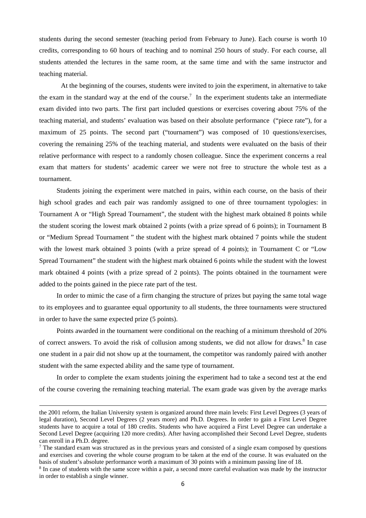students during the second semester (teaching period from February to June). Each course is worth 10 credits, corresponding to 60 hours of teaching and to nominal 250 hours of study. For each course, all students attended the lectures in the same room, at the same time and with the same instructor and teaching material.

At the beginning of the courses, students were invited to join the experiment, in alternative to take the exam in the standard way at the end of the course.<sup>7</sup> In the experiment students take an intermediate exam divided into two parts. The first part included questions or exercises covering about 75% of the teaching material, and students' evaluation was based on their absolute performance ("piece rate"), for a maximum of 25 points. The second part ("tournament") was composed of 10 questions/exercises, covering the remaining 25% of the teaching material, and students were evaluated on the basis of their relative performance with respect to a randomly chosen colleague. Since the experiment concerns a real exam that matters for students' academic career we were not free to structure the whole test as a tournament.

Students joining the experiment were matched in pairs, within each course, on the basis of their high school grades and each pair was randomly assigned to one of three tournament typologies: in Tournament A or "High Spread Tournament", the student with the highest mark obtained 8 points while the student scoring the lowest mark obtained 2 points (with a prize spread of 6 points); in Tournament B or "Medium Spread Tournament " the student with the highest mark obtained 7 points while the student with the lowest mark obtained 3 points (with a prize spread of 4 points); in Tournament C or "Low" Spread Tournament" the student with the highest mark obtained 6 points while the student with the lowest mark obtained 4 points (with a prize spread of 2 points). The points obtained in the tournament were added to the points gained in the piece rate part of the test.

In order to mimic the case of a firm changing the structure of prizes but paying the same total wage to its employees and to guarantee equal opportunity to all students, the three tournaments were structured in order to have the same expected prize (5 points).

Points awarded in the tournament were conditional on the reaching of a minimum threshold of 20% of correct answers. To avoid the risk of collusion among students, we did not allow for draws.<sup>8</sup> In case one student in a pair did not show up at the tournament, the competitor was randomly paired with another student with the same expected ability and the same type of tournament.

In order to complete the exam students joining the experiment had to take a second test at the end of the course covering the remaining teaching material. The exam grade was given by the average marks

<u> Andrewski politika (za obrazu za obrazu za obrazu za obrazu za obrazu za obrazu za obrazu za obrazu za obrazu</u>

the 2001 reform, the Italian University system is organized around three main levels: First Level Degrees (3 years of legal duration), Second Level Degrees (2 years more) and Ph.D. Degrees. In order to gain a First Level Degree students have to acquire a total of 180 credits. Students who have acquired a First Level Degree can undertake a Second Level Degree (acquiring 120 more credits). After having accomplished their Second Level Degree, students can enroll in a Ph.D. degree.

<sup>&</sup>lt;sup>7</sup> The standard exam was structured as in the previous years and consisted of a single exam composed by questions and exercises and covering the whole course program to be taken at the end of the course. It was evaluated on the basis of student's absolute performance worth a maximum of 30 points with a minimum passing line of 18.

<sup>&</sup>lt;sup>8</sup> In case of students with the same score within a pair, a second more careful evaluation was made by the instructor in order to establish a single winner.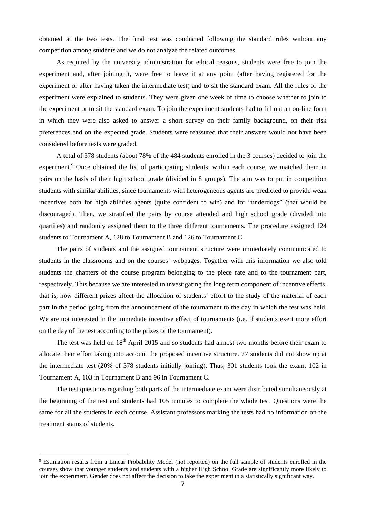obtained at the two tests. The final test was conducted following the standard rules without any competition among students and we do not analyze the related outcomes.

As required by the university administration for ethical reasons, students were free to join the experiment and, after joining it, were free to leave it at any point (after having registered for the experiment or after having taken the intermediate test) and to sit the standard exam. All the rules of the experiment were explained to students. They were given one week of time to choose whether to join to the experiment or to sit the standard exam. To join the experiment students had to fill out an on-line form in which they were also asked to answer a short survey on their family background, on their risk preferences and on the expected grade. Students were reassured that their answers would not have been considered before tests were graded.

A total of 378 students (about 78% of the 484 students enrolled in the 3 courses) decided to join the experiment.<sup>9</sup> Once obtained the list of participating students, within each course, we matched them in pairs on the basis of their high school grade (divided in 8 groups). The aim was to put in competition students with similar abilities, since tournaments with heterogeneous agents are predicted to provide weak incentives both for high abilities agents (quite confident to win) and for "underdogs" (that would be discouraged). Then, we stratified the pairs by course attended and high school grade (divided into quartiles) and randomly assigned them to the three different tournaments. The procedure assigned 124 students to Tournament A, 128 to Tournament B and 126 to Tournament C.

The pairs of students and the assigned tournament structure were immediately communicated to students in the classrooms and on the courses' webpages. Together with this information we also told students the chapters of the course program belonging to the piece rate and to the tournament part, respectively. This because we are interested in investigating the long term component of incentive effects, that is, how different prizes affect the allocation of students' effort to the study of the material of each part in the period going from the announcement of the tournament to the day in which the test was held. We are not interested in the immediate incentive effect of tournaments (i.e. if students exert more effort on the day of the test according to the prizes of the tournament).

The test was held on 18<sup>th</sup> April 2015 and so students had almost two months before their exam to allocate their effort taking into account the proposed incentive structure. 77 students did not show up at the intermediate test (20% of 378 students initially joining). Thus, 301 students took the exam: 102 in Tournament A, 103 in Tournament B and 96 in Tournament C.

The test questions regarding both parts of the intermediate exam were distributed simultaneously at the beginning of the test and students had 105 minutes to complete the whole test. Questions were the same for all the students in each course. Assistant professors marking the tests had no information on the treatment status of students.

<sup>&</sup>lt;sup>9</sup> Estimation results from a Linear Probability Model (not reported) on the full sample of students enrolled in the courses show that younger students and students with a higher High School Grade are significantly more likely to join the experiment. Gender does not affect the decision to take the experiment in a statistically significant way.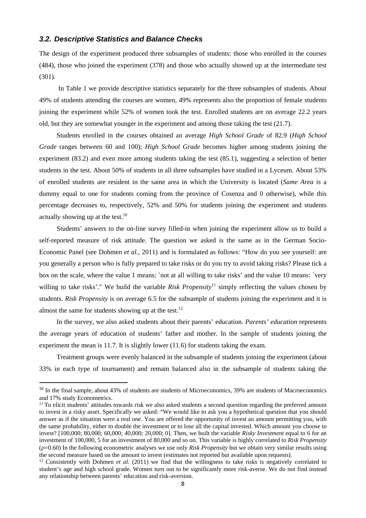#### *3.2. Descriptive Statistics and Balance Checks*

The design of the experiment produced three subsamples of students: those who enrolled in the courses (484), those who joined the experiment (378) and those who actually showed up at the intermediate test (301).

 In Table 1 we provide descriptive statistics separately for the three subsamples of students. About 49% of students attending the courses are women, 49% represents also the proportion of female students joining the experiment while 52% of women took the test. Enrolled students are on average 22.2 years old, but they are somewhat younger in the experiment and among those taking the test (21.7).

Students enrolled in the courses obtained an average *High School Grade* of 82.9 (*High School Grade* ranges between 60 and 100); *High School Grade* becomes higher among students joining the experiment (83.2) and even more among students taking the test (85.1), suggesting a selection of better students in the test. About 50% of students in all three subsamples have studied in a Lyceum. About 53% of enrolled students are resident in the same area in which the University is located (*Same Area* is a dummy equal to one for students coming from the province of Cosenza and 0 otherwise), while this percentage decreases to, respectively, 52% and 50% for students joining the experiment and students actually showing up at the test. $^{10}$ 

Students' answers to the on-line survey filled-in when joining the experiment allow us to build a self-reported measure of risk attitude. The question we asked is the same as in the German Socio-Economic Panel (see Dohmen *et al.*, 2011) and is formulated as follows: "How do you see yourself: are you generally a person who is fully prepared to take risks or do you try to avoid taking risks? Please tick a box on the scale, where the value 1 means: `not at all willing to take risks' and the value 10 means: `very willing to take risks'." We build the variable *Risk Propensity*<sup>11</sup> simply reflecting the values chosen by students. *Risk Propensity* is on average 6.5 for the subsample of students joining the experiment and it is almost the same for students showing up at the test.<sup>12</sup>

In the survey, we also asked students about their parents' education. *Parents' education* represents the average years of education of students' father and mother. In the sample of students joining the experiment the mean is 11.7. It is slightly lower (11.6) for students taking the exam.

Treatment groups were evenly balanced in the subsample of students joining the experiment (about 33% in each type of tournament) and remain balanced also in the subsample of students taking the

<sup>&</sup>lt;sup>10</sup> In the final sample, about 43% of students are students of Microeconomics, 39% are students of Macroeconomics and 17% study Econometrics.

 $11$  To elicit students' attitudes towards risk we also asked students a second question regarding the preferred amount to invest in a risky asset. Specifically we asked: "We would like to ask you a hypothetical question that you should answer as if the situation were a real one. You are offered the opportunity of invest an amount permitting you, with the same probability, either to double the investment or to lose all the capital invested. Which amount you choose to invest? [100,000; 80,000; 60,000; 40,000; 20,000; 0]. Then, we built the variable *Risky Investment* equal to 6 for an investment of 100,000, 5 for an investment of 80,000 and so on. This variable is highly correlated to *Risk Propensity*  $(\rho=0.60)$  In the following econometric analyses we use only *Risk Propensity* but we obtain very similar results using the second measure based on the amount to invest (estimates not reported but available upon requests).

<sup>&</sup>lt;sup>12</sup> Consistently with Dohmen *et al.* (2011) we find that the willingness to take risks is negatively correlated to student's age and high school grade. Women turn out to be significantly more risk-averse. We do not find instead any relationship between parents' education and risk-aversion.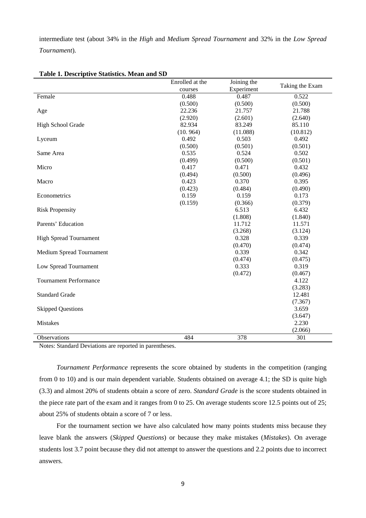intermediate test (about 34% in the *High* and *Medium Spread Tournament* and 32% in the *Low Spread Tournament*).

|                               | Enrolled at the | Joining the |                 |
|-------------------------------|-----------------|-------------|-----------------|
|                               | courses         | Experiment  | Taking the Exam |
| Female                        | 0.488           | 0.487       | 0.522           |
|                               | (0.500)         | (0.500)     | (0.500)         |
| Age                           | 22.236          | 21.757      | 21.788          |
|                               | (2.920)         | (2.601)     | (2.640)         |
| High School Grade             | 82.934          | 83.249      | 85.110          |
|                               | (10.964)        | (11.088)    | (10.812)        |
| Lyceum                        | 0.492           | 0.503       | 0.492           |
|                               | (0.500)         | (0.501)     | (0.501)         |
| Same Area                     | 0.535           | 0.524       | 0.502           |
|                               | (0.499)         | (0.500)     | (0.501)         |
| Micro                         | 0.417           | 0.471       | 0.432           |
|                               | (0.494)         | (0.500)     | (0.496)         |
| Macro                         | 0.423           | 0.370       | 0.395           |
|                               | (0.423)         | (0.484)     | (0.490)         |
| Econometrics                  | 0.159           | 0.159       | 0.173           |
|                               | (0.159)         | (0.366)     | (0.379)         |
| <b>Risk Propensity</b>        |                 | 6.513       | 6.432           |
|                               |                 | (1.808)     | (1.840)         |
| Parents' Education            |                 | 11.712      | 11.571          |
|                               |                 | (3.268)     | (3.124)         |
| <b>High Spread Tournament</b> |                 | 0.328       | 0.339           |
|                               |                 | (0.470)     | (0.474)         |
| Medium Spread Tournament      |                 | 0.339       | 0.342           |
|                               |                 | (0.474)     | (0.475)         |
| Low Spread Tournament         |                 | 0.333       | 0.319           |
|                               |                 | (0.472)     | (0.467)         |
| <b>Tournament Performance</b> |                 |             | 4.122           |
|                               |                 |             | (3.283)         |
| <b>Standard Grade</b>         |                 |             | 12.481          |
|                               |                 |             | (7.367)         |
| <b>Skipped Questions</b>      |                 |             | 3.659           |
|                               |                 |             | (3.647)         |
| <b>Mistakes</b>               |                 |             | 2.230           |
|                               |                 |             | (2.066)         |
| Observations                  | 484             | 378         | 301             |

#### **Table 1. Descriptive Statistics. Mean and SD**

Notes: Standard Deviations are reported in parentheses.

*Tournament Performance* represents the score obtained by students in the competition (ranging from 0 to 10) and is our main dependent variable. Students obtained on average 4.1; the SD is quite high (3.3) and almost 20% of students obtain a score of zero. *Standard Grade* is the score students obtained in the piece rate part of the exam and it ranges from 0 to 25. On average students score 12.5 points out of 25; about 25% of students obtain a score of 7 or less.

For the tournament section we have also calculated how many points students miss because they leave blank the answers (*Skipped Questions*) or because they make mistakes (*Mistakes*). On average students lost 3.7 point because they did not attempt to answer the questions and 2.2 points due to incorrect answers.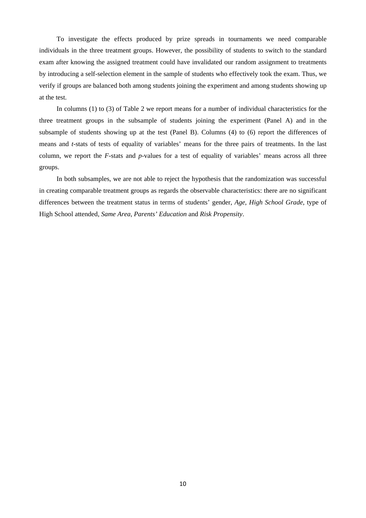To investigate the effects produced by prize spreads in tournaments we need comparable individuals in the three treatment groups. However, the possibility of students to switch to the standard exam after knowing the assigned treatment could have invalidated our random assignment to treatments by introducing a self-selection element in the sample of students who effectively took the exam. Thus, we verify if groups are balanced both among students joining the experiment and among students showing up at the test.

In columns (1) to (3) of Table 2 we report means for a number of individual characteristics for the three treatment groups in the subsample of students joining the experiment (Panel A) and in the subsample of students showing up at the test (Panel B). Columns (4) to (6) report the differences of means and *t*-stats of tests of equality of variables' means for the three pairs of treatments. In the last column, we report the *F*-stats and *p*-values for a test of equality of variables' means across all three groups.

In both subsamples, we are not able to reject the hypothesis that the randomization was successful in creating comparable treatment groups as regards the observable characteristics: there are no significant differences between the treatment status in terms of students' gender, *Age*, *High School Grade*, type of High School attended, *Same Area*, *Parents' Education* and *Risk Propensity*.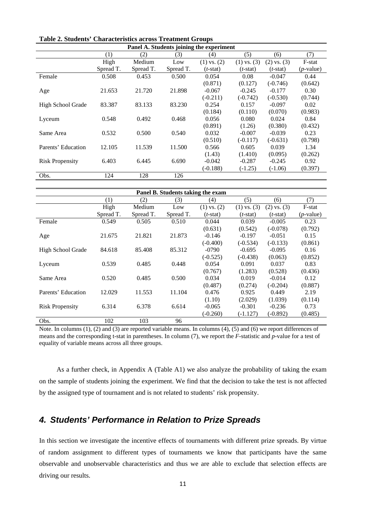| Panel A. Students joining the experiment |           |           |           |                 |                 |                 |                    |
|------------------------------------------|-----------|-----------|-----------|-----------------|-----------------|-----------------|--------------------|
|                                          | (1)       | (2)       | (3)       | (4)             | (5)             | (6)             | (7)                |
|                                          | High      | Medium    | Low       | $(1)$ vs. $(2)$ | $(1)$ vs. $(3)$ | $(2)$ vs. $(3)$ | F-stat             |
|                                          | Spread T. | Spread T. | Spread T. | $(t$ -stat)     | $(t$ -stat)     | $(t$ -stat)     | ( <i>p</i> -value) |
| Female                                   | 0.508     | 0.453     | 0.500     | 0.054           | 0.08            | $-0.047$        | 0.44               |
|                                          |           |           |           | (0.871)         | (0.127)         | $(-0.746)$      | (0.642)            |
| Age                                      | 21.653    | 21.720    | 21.898    | $-0.067$        | $-0.245$        | $-0.177$        | 0.30               |
|                                          |           |           |           | $(-0.211)$      | $(-0.742)$      | $(-0.530)$      | (0.744)            |
| High School Grade                        | 83.387    | 83.133    | 83.230    | 0.254           | 0.157           | $-0.097$        | 0.02               |
|                                          |           |           |           | (0.184)         | (0.110)         | (0.070)         | (0.983)            |
| Lyceum                                   | 0.548     | 0.492     | 0.468     | 0.056           | 0.080           | 0.024           | 0.84               |
|                                          |           |           |           | (0.891)         | (1.26)          | (0.380)         | (0.432)            |
| Same Area                                | 0.532     | 0.500     | 0.540     | 0.032           | $-0.007$        | $-0.039$        | 0.23               |
|                                          |           |           |           | (0.510)         | $(-0.117)$      | $(-0.631)$      | (0.798)            |
| Parents' Education                       | 12.105    | 11.539    | 11.500    | 0.566           | 0.605           | 0.039           | 1.34               |
|                                          |           |           |           | (1.43)          | (1.410)         | (0.095)         | (0.262)            |
| <b>Risk Propensity</b>                   | 6.403     | 6.445     | 6.690     | $-0.042$        | $-0.287$        | $-0.245$        | 0.92               |
|                                          |           |           |           | $(-0.188)$      | $(-1.25)$       | $(-1.06)$       | (0.397)            |
| Obs.                                     | 124       | 128       | 126       |                 |                 |                 |                    |

|  | <b>Table 2. Students' Characteristics across Treatment Groups</b> |  |
|--|-------------------------------------------------------------------|--|
|--|-------------------------------------------------------------------|--|

| Panel B. Students taking the exam |           |           |           |                 |                 |                 |              |  |  |
|-----------------------------------|-----------|-----------|-----------|-----------------|-----------------|-----------------|--------------|--|--|
|                                   | (1)       | (2)       | (3)       | (4)             | (5)             | (6)             | (7)          |  |  |
|                                   | High      | Medium    | Low       | $(1)$ vs. $(2)$ | $(1)$ vs. $(3)$ | $(2)$ vs. $(3)$ | F-stat       |  |  |
|                                   | Spread T. | Spread T. | Spread T. | $(t$ -stat)     | $(t$ -stat)     | $(t$ -stat)     | $(p$ -value) |  |  |
| Female                            | 0.549     | 0.505     | 0.510     | 0.044           | 0.039           | $-0.005$        | 0.23         |  |  |
|                                   |           |           |           | (0.631)         | (0.542)         | $(-0.078)$      | (0.792)      |  |  |
| Age                               | 21.675    | 21.821    | 21.873    | $-0.146$        | $-0.197$        | $-0.051$        | 0.15         |  |  |
|                                   |           |           |           | $(-0.400)$      | $(-0.534)$      | $(-0.133)$      | (0.861)      |  |  |
| High School Grade                 | 84.618    | 85.408    | 85.312    | $-0790$         | $-0.695$        | $-0.095$        | 0.16         |  |  |
|                                   |           |           |           | $(-0.525)$      | $(-0.438)$      | (0.063)         | (0.852)      |  |  |
| Lyceum                            | 0.539     | 0.485     | 0.448     | 0.054           | 0.091           | 0.037           | 0.83         |  |  |
|                                   |           |           |           | (0.767)         | (1.283)         | (0.528)         | (0.436)      |  |  |
| Same Area                         | 0.520     | 0.485     | 0.500     | 0.034           | 0.019           | $-0.014$        | 0.12         |  |  |
|                                   |           |           |           | (0.487)         | (0.274)         | $(-0.204)$      | (0.887)      |  |  |
| Parents' Education                | 12.029    | 11.553    | 11.104    | 0.476           | 0.925           | 0.449           | 2.19         |  |  |
|                                   |           |           |           | (1.10)          | (2.029)         | (1.039)         | (0.114)      |  |  |
| <b>Risk Propensity</b>            | 6.314     | 6.378     | 6.614     | $-0.065$        | $-0.301$        | $-0.236$        | 0.73         |  |  |
|                                   |           |           |           | $(-0.260)$      | $(-1.127)$      | $(-0.892)$      | (0.485)      |  |  |
| Obs.                              | 102       | 103       | 96        |                 |                 |                 |              |  |  |

Note. In columns (1), (2) and (3) are reported variable means. In columns (4), (5) and (6) we report differences of means and the corresponding t-stat in parentheses. In column (7), we report the *F*-statistic and *p*-value for a test of equality of variable means across all three groups.

As a further check, in Appendix A (Table A1) we also analyze the probability of taking the exam on the sample of students joining the experiment. We find that the decision to take the test is not affected by the assigned type of tournament and is not related to students' risk propensity.

## *4. Students' Performance in Relation to Prize Spreads*

In this section we investigate the incentive effects of tournaments with different prize spreads. By virtue of random assignment to different types of tournaments we know that participants have the same observable and unobservable characteristics and thus we are able to exclude that selection effects are driving our results.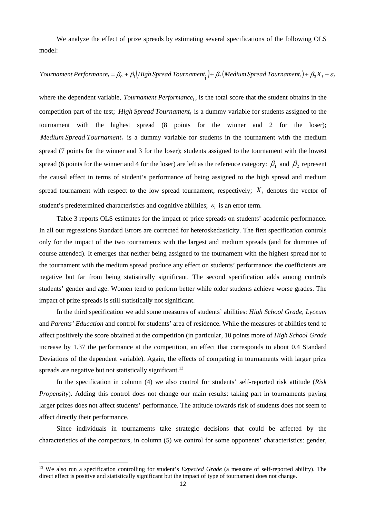We analyze the effect of prize spreads by estimating several specifications of the following OLS model:

Tournament Performance<sub>i</sub> = 
$$
\beta_0 + \beta_1
$$
(High Spread Tournament<sub>i</sub>) +  $\beta_2$ (Median Spectromament<sub>i</sub>) +  $\beta_3 X_i + \varepsilon_i$ 

where the dependent variable, *Tournament Performance*, is the total score that the student obtains in the competition part of the test; *High Spread Tournament<sub>i</sub>* is a dummy variable for students assigned to the tournament with the highest spread (8 points for the winner and 2 for the loser); *Medium Spread Tournament<sub>i</sub>* is a dummy variable for students in the tournament with the medium spread (7 points for the winner and 3 for the loser); students assigned to the tournament with the lowest spread (6 points for the winner and 4 for the loser) are left as the reference category:  $\beta_1$  and  $\beta_2$  represent the causal effect in terms of student's performance of being assigned to the high spread and medium spread tournament with respect to the low spread tournament, respectively;  $X_i$  denotes the vector of student's predetermined characteristics and cognitive abilities;  $\varepsilon_i$  is an error term.

Table 3 reports OLS estimates for the impact of price spreads on students' academic performance. In all our regressions Standard Errors are corrected for heteroskedasticity. The first specification controls only for the impact of the two tournaments with the largest and medium spreads (and for dummies of course attended). It emerges that neither being assigned to the tournament with the highest spread nor to the tournament with the medium spread produce any effect on students' performance: the coefficients are negative but far from being statistically significant. The second specification adds among controls students' gender and age. Women tend to perform better while older students achieve worse grades. The impact of prize spreads is still statistically not significant.

In the third specification we add some measures of students' abilities: *High School Grade*, *Lyceum* and *Parents' Education* and control for students' area of residence. While the measures of abilities tend to affect positively the score obtained at the competition (in particular, 10 points more of *High School Grade* increase by 1.37 the performance at the competition, an effect that corresponds to about 0.4 Standard Deviations of the dependent variable). Again, the effects of competing in tournaments with larger prize spreads are negative but not statistically significant.<sup>13</sup>

In the specification in column (4) we also control for students' self-reported risk attitude (*Risk Propensity*). Adding this control does not change our main results: taking part in tournaments paying larger prizes does not affect students' performance. The attitude towards risk of students does not seem to affect directly their performance.

Since individuals in tournaments take strategic decisions that could be affected by the characteristics of the competitors, in column (5) we control for some opponents' characteristics: gender,

<sup>13</sup> We also run a specification controlling for student's *Expected Grade* (a measure of self-reported ability). The direct effect is positive and statistically significant but the impact of type of tournament does not change.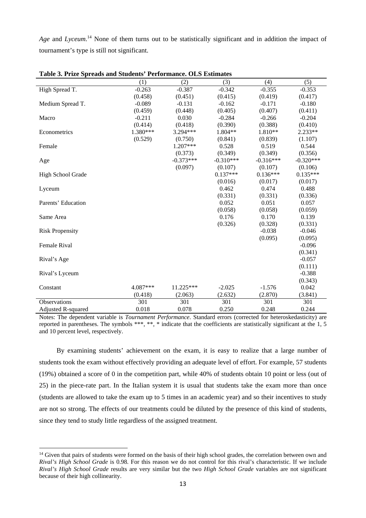Age and *Lyceum*.<sup>14</sup> None of them turns out to be statistically significant and in addition the impact of tournament's type is still not significant.

|                        | (1)      | (2)         | (3)         | (4)         | (5)         |
|------------------------|----------|-------------|-------------|-------------|-------------|
| High Spread T.         | $-0.263$ | $-0.387$    | $-0.342$    | $-0.355$    | $-0.353$    |
|                        | (0.458)  | (0.451)     | (0.415)     | (0.419)     | (0.417)     |
| Medium Spread T.       | $-0.089$ | $-0.131$    | $-0.162$    | $-0.171$    | $-0.180$    |
|                        | (0.459)  | (0.448)     | (0.405)     | (0.407)     | (0.411)     |
| Macro                  | $-0.211$ | 0.030       | $-0.284$    | $-0.266$    | $-0.204$    |
|                        | (0.414)  | (0.418)     | (0.390)     | (0.388)     | (0.410)     |
| Econometrics           | 1.380*** | 3.294***    | 1.804**     | 1.810**     | $2.233**$   |
|                        | (0.529)  | (0.750)     | (0.841)     | (0.839)     | (1.107)     |
| Female                 |          | $1.207***$  | 0.528       | 0.519       | 0.544       |
|                        |          | (0.373)     | (0.349)     | (0.349)     | (0.356)     |
| Age                    |          | $-0.373***$ | $-0.310***$ | $-0.316***$ | $-0.320***$ |
|                        |          | (0.097)     | (0.107)     | (0.107)     | (0.106)     |
| High School Grade      |          |             | $0.137***$  | $0.136***$  | $0.135***$  |
|                        |          |             | (0.016)     | (0.017)     | (0.017)     |
| Lyceum                 |          |             | 0.462       | 0.474       | 0.488       |
|                        |          |             | (0.331)     | (0.331)     | (0.336)     |
| Parents' Education     |          |             | 0.052       | 0.051       | 0.057       |
|                        |          |             | (0.058)     | (0.058)     | (0.059)     |
| Same Area              |          |             | 0.176       | 0.170       | 0.139       |
|                        |          |             | (0.326)     | (0.328)     | (0.331)     |
| <b>Risk Propensity</b> |          |             |             | $-0.038$    | $-0.046$    |
|                        |          |             |             | (0.095)     | (0.095)     |
| <b>Female Rival</b>    |          |             |             |             | $-0.096$    |
|                        |          |             |             |             | (0.341)     |
| Rival's Age            |          |             |             |             | $-0.057$    |
|                        |          |             |             |             | (0.111)     |
| Rival's Lyceum         |          |             |             |             | $-0.388$    |
|                        |          |             |             |             | (0.343)     |
| Constant               | 4.087*** | 11.225***   | $-2.025$    | $-1.576$    | 0.042       |
|                        | (0.418)  | (2.063)     | (2.632)     | (2.870)     | (3.841)     |
| <b>Observations</b>    | 301      | 301         | 301         | 301         | 301         |
| Adjusted R-squared     | 0.018    | 0.078       | 0.250       | 0.248       | 0.244       |

**Table 3. Prize Spreads and Students' Performance. OLS Estimates** 

Notes: The dependent variable is *Tournament Performance*. Standard errors (corrected for heteroskedasticity) are reported in parentheses. The symbols \*\*\*, \*\*, \* indicate that the coefficients are statistically significant at the 1, 5 and 10 percent level, respectively.

By examining students' achievement on the exam, it is easy to realize that a large number of students took the exam without effectively providing an adequate level of effort. For example, 57 students (19%) obtained a score of 0 in the competition part, while 40% of students obtain 10 point or less (out of 25) in the piece-rate part. In the Italian system it is usual that students take the exam more than once (students are allowed to take the exam up to 5 times in an academic year) and so their incentives to study are not so strong. The effects of our treatments could be diluted by the presence of this kind of students, since they tend to study little regardless of the assigned treatment.

<sup>&</sup>lt;sup>14</sup> Given that pairs of students were formed on the basis of their high school grades, the correlation between own and *Rival's High School Grade* is 0.98. For this reason we do not control for this rival's characteristic. If we include *Rival's High School Grade* results are very similar but the two *High School Grade* variables are not significant because of their high collinearity.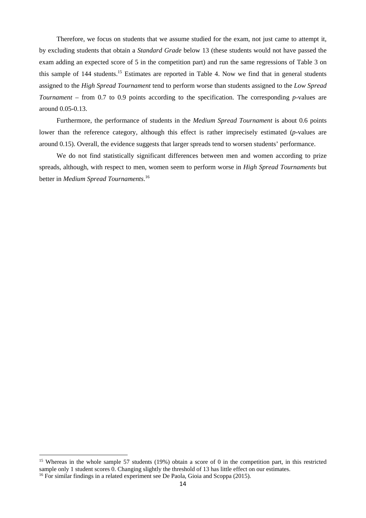Therefore, we focus on students that we assume studied for the exam, not just came to attempt it, by excluding students that obtain a *Standard Grade* below 13 (these students would not have passed the exam adding an expected score of 5 in the competition part) and run the same regressions of Table 3 on this sample of 144 students.<sup>15</sup> Estimates are reported in Table 4. Now we find that in general students assigned to the *High Spread Tournament* tend to perform worse than students assigned to the *Low Spread Tournament* – from 0.7 to 0.9 points according to the specification. The corresponding *p*-values are around 0.05-0.13.

Furthermore, the performance of students in the *Medium Spread Tournament* is about 0.6 points lower than the reference category, although this effect is rather imprecisely estimated (*p*-values are around 0.15). Overall, the evidence suggests that larger spreads tend to worsen students' performance.

We do not find statistically significant differences between men and women according to prize spreads, although, with respect to men, women seem to perform worse in *High Spread Tournaments* but better in *Medium Spread Tournaments*. 16

<sup>&</sup>lt;sup>15</sup> Whereas in the whole sample 57 students (19%) obtain a score of 0 in the competition part, in this restricted sample only 1 student scores 0. Changing slightly the threshold of 13 has little effect on our estimates.<br><sup>16</sup> For similar findings in a related experiment see De Paola, Gioia and Scoppa (2015).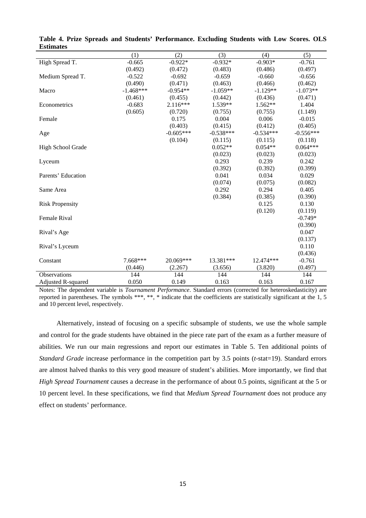|                           | (1)         | (2)         | (3)         | (4)         | (5)         |
|---------------------------|-------------|-------------|-------------|-------------|-------------|
| High Spread T.            | $-0.665$    | $-0.922*$   | $-0.932*$   | $-0.903*$   | $-0.761$    |
|                           | (0.492)     | (0.472)     | (0.483)     | (0.486)     | (0.497)     |
| Medium Spread T.          | $-0.522$    | $-0.692$    | $-0.659$    | $-0.660$    | $-0.656$    |
|                           | (0.490)     | (0.471)     | (0.463)     | (0.466)     | (0.462)     |
| Macro                     | $-1.468***$ | $-0.954**$  | $-1.059**$  | $-1.129**$  | $-1.073**$  |
|                           | (0.461)     | (0.455)     | (0.442)     | (0.436)     | (0.471)     |
| Econometrics              | $-0.683$    | $2.116***$  | 1.539**     | $1.562**$   | 1.404       |
|                           | (0.605)     | (0.720)     | (0.755)     | (0.755)     | (1.149)     |
| Female                    |             | 0.175       | 0.004       | 0.006       | $-0.015$    |
|                           |             | (0.403)     | (0.415)     | (0.412)     | (0.405)     |
| Age                       |             | $-0.605***$ | $-0.538***$ | $-0.534***$ | $-0.556***$ |
|                           |             | (0.104)     | (0.115)     | (0.115)     | (0.118)     |
| High School Grade         |             |             | $0.052**$   | $0.054**$   | $0.064***$  |
|                           |             |             | (0.023)     | (0.023)     | (0.023)     |
| Lyceum                    |             |             | 0.293       | 0.239       | 0.242       |
|                           |             |             | (0.392)     | (0.392)     | (0.399)     |
| Parents' Education        |             |             | 0.041       | 0.034       | 0.029       |
|                           |             |             | (0.074)     | (0.075)     | (0.082)     |
| Same Area                 |             |             | 0.292       | 0.294       | 0.405       |
|                           |             |             | (0.384)     | (0.385)     | (0.390)     |
| <b>Risk Propensity</b>    |             |             |             | 0.125       | 0.130       |
|                           |             |             |             | (0.120)     | (0.119)     |
| Female Rival              |             |             |             |             | $-0.749*$   |
|                           |             |             |             |             | (0.390)     |
| Rival's Age               |             |             |             |             | 0.047       |
|                           |             |             |             |             | (0.137)     |
| Rival's Lyceum            |             |             |             |             | 0.110       |
|                           |             |             |             |             | (0.436)     |
| Constant                  | $7.668***$  | 20.069***   | 13.381***   | 12.474***   | $-0.761$    |
|                           | (0.446)     | (2.267)     | (3.656)     | (3.820)     | (0.497)     |
| Observations              | 144         | 144         | 144         | 144         | 144         |
| <b>Adjusted R-squared</b> | 0.050       | 0.149       | 0.163       | 0.163       | 0.167       |

**Table 4. Prize Spreads and Students' Performance. Excluding Students with Low Scores. OLS Estimates** 

Notes: The dependent variable is *Tournament Performance*. Standard errors (corrected for heteroskedasticity) are reported in parentheses. The symbols \*\*\*, \*\*, \* indicate that the coefficients are statistically significant at the 1, 5 and 10 percent level, respectively.

Alternatively, instead of focusing on a specific subsample of students, we use the whole sample and control for the grade students have obtained in the piece rate part of the exam as a further measure of abilities. We run our main regressions and report our estimates in Table 5. Ten additional points of *Standard Grade* increase performance in the competition part by 3.5 points (*t*-stat=19). Standard errors are almost halved thanks to this very good measure of student's abilities. More importantly, we find that *High Spread Tournament* causes a decrease in the performance of about 0.5 points, significant at the 5 or 10 percent level. In these specifications, we find that *Medium Spread Tournament* does not produce any effect on students' performance.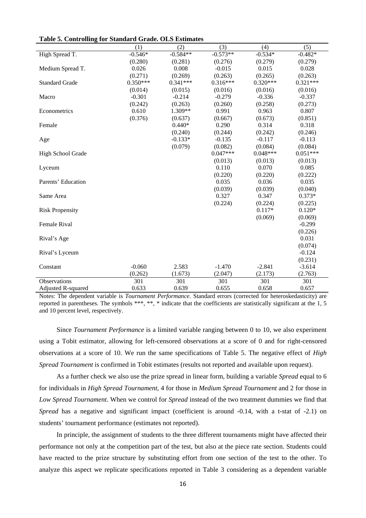|                        | (1)        | (2)        | (3)        | (4)        | (5)        |
|------------------------|------------|------------|------------|------------|------------|
| High Spread T.         | $-0.546*$  | $-0.584**$ | $-0.573**$ | $-0.534*$  | $-0.482*$  |
|                        | (0.280)    | (0.281)    | (0.276)    | (0.279)    | (0.279)    |
| Medium Spread T.       | 0.026      | 0.008      | $-0.015$   | 0.015      | 0.028      |
|                        | (0.271)    | (0.269)    | (0.263)    | (0.265)    | (0.263)    |
| <b>Standard Grade</b>  | $0.350***$ | $0.341***$ | $0.316***$ | $0.320***$ | $0.321***$ |
|                        | (0.014)    | (0.015)    | (0.016)    | (0.016)    | (0.016)    |
| Macro                  | $-0.301$   | $-0.214$   | $-0.279$   | $-0.336$   | $-0.337$   |
|                        | (0.242)    | (0.263)    | (0.260)    | (0.258)    | (0.273)    |
| Econometrics           | 0.610      | 1.309**    | 0.991      | 0.963      | 0.807      |
|                        | (0.376)    | (0.637)    | (0.667)    | (0.673)    | (0.851)    |
| Female                 |            | $0.440*$   | 0.290      | 0.314      | 0.318      |
|                        |            | (0.240)    | (0.244)    | (0.242)    | (0.246)    |
| Age                    |            | $-0.133*$  | $-0.135$   | $-0.117$   | $-0.113$   |
|                        |            | (0.079)    | (0.082)    | (0.084)    | (0.084)    |
| High School Grade      |            |            | $0.047***$ | $0.048***$ | $0.051***$ |
|                        |            |            | (0.013)    | (0.013)    | (0.013)    |
| Lyceum                 |            |            | 0.110      | 0.070      | 0.085      |
|                        |            |            | (0.220)    | (0.220)    | (0.222)    |
| Parents' Education     |            |            | 0.035      | 0.036      | 0.035      |
|                        |            |            | (0.039)    | (0.039)    | (0.040)    |
| Same Area              |            |            | 0.327      | 0.347      | $0.373*$   |
|                        |            |            | (0.224)    | (0.224)    | (0.225)    |
| <b>Risk Propensity</b> |            |            |            | $0.117*$   | $0.120*$   |
|                        |            |            |            | (0.069)    | (0.069)    |
| Female Rival           |            |            |            |            | $-0.299$   |
|                        |            |            |            |            | (0.226)    |
| Rival's Age            |            |            |            |            | 0.031      |
|                        |            |            |            |            | (0.074)    |
| Rival's Lyceum         |            |            |            |            | $-0.124$   |
|                        |            |            |            |            | (0.231)    |
| Constant               | $-0.060$   | 2.583      | $-1.470$   | $-2.841$   | $-3.614$   |
|                        | (0.262)    | (1.673)    | (2.047)    | (2.173)    | (2.763)    |
| Observations           | 301        | 301        | 301        | 301        | 301        |
| Adjusted R-squared     | 0.633      | 0.639      | 0.655      | 0.658      | 0.657      |

Notes: The dependent variable is *Tournament Performance*. Standard errors (corrected for heteroskedasticity) are reported in parentheses. The symbols \*\*\*, \*\*, \* indicate that the coefficients are statistically significant at the 1, 5 and 10 percent level, respectively.

Since *Tournament Performance* is a limited variable ranging between 0 to 10, we also experiment using a Tobit estimator, allowing for left-censored observations at a score of 0 and for right-censored observations at a score of 10. We run the same specifications of Table 5. The negative effect of *High Spread Tournament* is confirmed in Tobit estimates (results not reported and available upon request).

As a further check we also use the prize spread in linear form, building a variable *Spread* equal to 6 for individuals in *High Spread Tournament*, 4 for those in *Medium Spread Tournament* and 2 for those in *Low Spread Tournament*. When we control for *Spread* instead of the two treatment dummies we find that *Spread* has a negative and significant impact (coefficient is around -0.14, with a t-stat of -2.1) on students' tournament performance (estimates not reported).

In principle, the assignment of students to the three different tournaments might have affected their performance not only at the competition part of the test, but also at the piece rate section. Students could have reacted to the prize structure by substituting effort from one section of the test to the other. To analyze this aspect we replicate specifications reported in Table 3 considering as a dependent variable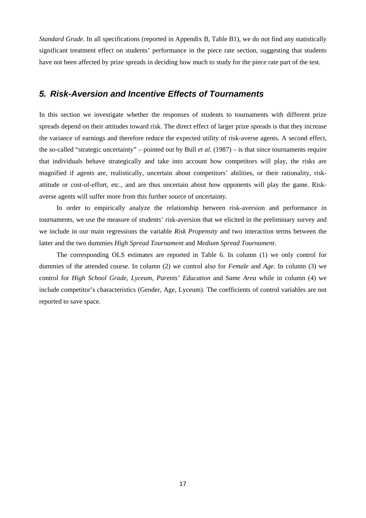*Standard Grade*. In all specifications (reported in Appendix B, Table B1), we do not find any statistically significant treatment effect on students' performance in the piece rate section, suggesting that students have not been affected by prize spreads in deciding how much to study for the piece rate part of the test.

### *5. Risk-Aversion and Incentive Effects of Tournaments*

In this section we investigate whether the responses of students to tournaments with different prize spreads depend on their attitudes toward risk. The direct effect of larger prize spreads is that they increase the variance of earnings and therefore reduce the expected utility of risk-averse agents. A second effect, the so-called "strategic uncertainty" – pointed out by Bull *et al.* (1987) – is that since tournaments require that individuals behave strategically and take into account how competitors will play, the risks are magnified if agents are, realistically, uncertain about competitors' abilities, or their rationality, riskattitude or cost-of-effort, etc., and are thus uncertain about how opponents will play the game. Riskaverse agents will suffer more from this further source of uncertainty.

In order to empirically analyze the relationship between risk-aversion and performance in tournaments, we use the measure of students' risk-aversion that we elicited in the preliminary survey and we include in our main regressions the variable *Risk Propensity* and two interaction terms between the latter and the two dummies *High Spread Tournament* and *Medium Spread Tournament*.

The corresponding OLS estimates are reported in Table 6. In column (1) we only control for dummies of the attended course. In column (2) we control also for *Female* and *Age*. In column (3) we control for *High School Grade*, *Lyceum*, *Parents' Education* and *Same Area* while in column (4) we include competitor's characteristics (Gender, Age, Lyceum). The coefficients of control variables are not reported to save space.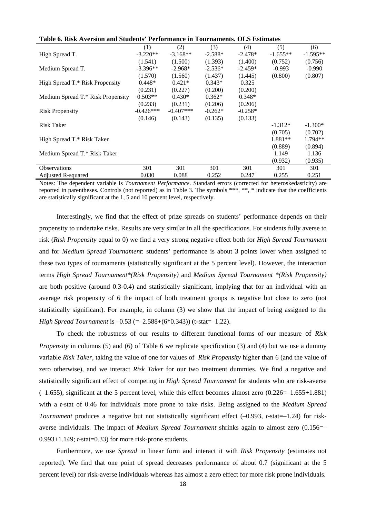|                                   | (1)         | (2)         | (3)       | (4)       | (5)        | (6)        |
|-----------------------------------|-------------|-------------|-----------|-----------|------------|------------|
| High Spread T.                    | $-3.220**$  | $-3.168**$  | $-2.588*$ | $-2.478*$ | $-1.655**$ | $-1.595**$ |
|                                   | (1.541)     | (1.500)     | (1.393)   | (1.400)   | (0.752)    | (0.756)    |
| Medium Spread T.                  | $-3.396**$  | $-2.968*$   | $-2.536*$ | $-2.459*$ | $-0.993$   | $-0.990$   |
|                                   | (1.570)     | (1.560)     | (1.437)   | (1.445)   | (0.800)    | (0.807)    |
| High Spread T.* Risk Propensity   | $0.448*$    | $0.421*$    | $0.343*$  | 0.325     |            |            |
|                                   | (0.231)     | (0.227)     | (0.200)   | (0.200)   |            |            |
| Medium Spread T.* Risk Propensity | $0.503**$   | $0.430*$    | $0.362*$  | $0.348*$  |            |            |
|                                   | (0.233)     | (0.231)     | (0.206)   | (0.206)   |            |            |
| <b>Risk Propensity</b>            | $-0.426***$ | $-0.407***$ | $-0.262*$ | $-0.258*$ |            |            |
|                                   | (0.146)     | (0.143)     | (0.135)   | (0.133)   |            |            |
| <b>Risk Taker</b>                 |             |             |           |           | $-1.312*$  | $-1.300*$  |
|                                   |             |             |           |           | (0.705)    | (0.702)    |
| High Spread T.* Risk Taker        |             |             |           |           | 1.881**    | $1.794**$  |
|                                   |             |             |           |           | (0.889)    | (0.894)    |
| Medium Spread T.* Risk Taker      |             |             |           |           | 1.149      | 1.136      |
|                                   |             |             |           |           | (0.932)    | (0.935)    |
| <b>Observations</b>               | 301         | 301         | 301       | 301       | 301        | 301        |
| Adjusted R-squared                | 0.030       | 0.088       | 0.252     | 0.247     | 0.255      | 0.251      |

| Table 6. Risk Aversion and Students' Performance in Tournaments. OLS Estimates |  |  |  |
|--------------------------------------------------------------------------------|--|--|--|
|--------------------------------------------------------------------------------|--|--|--|

Notes: The dependent variable is *Tournament Performance*. Standard errors (corrected for heteroskedasticity) are reported in parentheses. Controls (not reported) as in Table 3. The symbols \*\*\*, \*\*, \* indicate that the coefficients are statistically significant at the 1, 5 and 10 percent level, respectively.

Interestingly, we find that the effect of prize spreads on students' performance depends on their propensity to undertake risks. Results are very similar in all the specifications. For students fully averse to risk (*Risk Propensity* equal to 0) we find a very strong negative effect both for *High Spread Tournament* and for *Medium Spread Tournament*: students' performance is about 3 points lower when assigned to these two types of tournaments (statistically significant at the 5 percent level). However, the interaction terms *High Spread Tournament\*(Risk Propensity)* and *Medium Spread Tournament \*(Risk Propensity)* are both positive (around 0.3-0.4) and statistically significant, implying that for an individual with an average risk propensity of 6 the impact of both treatment groups is negative but close to zero (not statistically significant). For example, in column (3) we show that the impact of being assigned to the *High Spread Tournament* is –0.53 (=–2.588+(6\*0.343)) (t-stat=–1.22).

To check the robustness of our results to different functional forms of our measure of *Risk Propensity* in columns (5) and (6) of Table 6 we replicate specification (3) and (4) but we use a dummy variable *Risk Taker*, taking the value of one for values of *Risk Propensity* higher than 6 (and the value of zero otherwise), and we interact *Risk Taker* for our two treatment dummies. We find a negative and statistically significant effect of competing in *High Spread Tournament* for students who are risk-averse  $(-1.655)$ , significant at the 5 percent level, while this effect becomes almost zero  $(0.226=-1.655+1.881)$ with a *t*-stat of 0.46 for individuals more prone to take risks. Being assigned to the *Medium Spread Tournament* produces a negative but not statistically significant effect (–0.993, *t*-stat=–1.24) for riskaverse individuals. The impact of *Medium Spread Tournament* shrinks again to almost zero (0.156=– 0.993+1.149; *t*-stat=0.33) for more risk-prone students.

Furthermore, we use *Spread* in linear form and interact it with *Risk Propensity* (estimates not reported). We find that one point of spread decreases performance of about 0.7 (significant at the 5 percent level) for risk-averse individuals whereas has almost a zero effect for more risk prone individuals.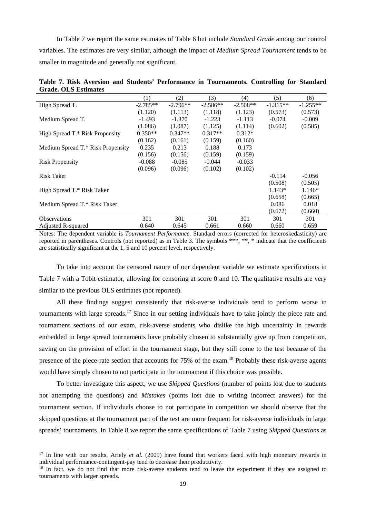In Table 7 we report the same estimates of Table 6 but include *Standard Grade* among our control variables. The estimates are very similar, although the impact of *Medium Spread Tournament* tends to be smaller in magnitude and generally not significant.

|                                   | (1)        | (2)        | (3)        | (4)        | (5)        | (6)        |
|-----------------------------------|------------|------------|------------|------------|------------|------------|
| High Spread T.                    | $-2.785**$ | $-2.796**$ | $-2.586**$ | $-2.508**$ | $-1.315**$ | $-1.255**$ |
|                                   | (1.120)    | (1.113)    | (1.118)    | (1.123)    | (0.573)    | (0.573)    |
| Medium Spread T.                  | $-1.493$   | $-1.370$   | $-1.223$   | $-1.113$   | $-0.074$   | $-0.009$   |
|                                   | (1.086)    | (1.087)    | (1.125)    | (1.114)    | (0.602)    | (0.585)    |
| High Spread T.* Risk Propensity   | $0.350**$  | $0.347**$  | $0.317**$  | $0.312*$   |            |            |
|                                   | (0.162)    | (0.161)    | (0.159)    | (0.160)    |            |            |
| Medium Spread T.* Risk Propensity | 0.235      | 0.213      | 0.188      | 0.173      |            |            |
|                                   | (0.156)    | (0.156)    | (0.159)    | (0.159)    |            |            |
| <b>Risk Propensity</b>            | $-0.088$   | $-0.085$   | $-0.044$   | $-0.033$   |            |            |
|                                   | (0.096)    | (0.096)    | (0.102)    | (0.102)    |            |            |
| <b>Risk Taker</b>                 |            |            |            |            | $-0.114$   | $-0.056$   |
|                                   |            |            |            |            | (0.508)    | (0.505)    |
| High Spread T.* Risk Taker        |            |            |            |            | $1.143*$   | $1.146*$   |
|                                   |            |            |            |            | (0.658)    | (0.665)    |
| Medium Spread T.* Risk Taker      |            |            |            |            | 0.086      | 0.018      |
|                                   |            |            |            |            | (0.672)    | (0.660)    |
| <b>Observations</b>               | 301        | 301        | 301        | 301        | 301        | 301        |
| Adjusted R-squared                | 0.640      | 0.645      | 0.661      | 0.660      | 0.660      | 0.659      |

**Table 7. Risk Aversion and Students' Performance in Tournaments. Controlling for Standard Grade. OLS Estimates** 

Notes: The dependent variable is *Tournament Performance*. Standard errors (corrected for heteroskedasticity) are reported in parentheses. Controls (not reported) as in Table 3. The symbols \*\*\*, \*\*, \* indicate that the coefficients are statistically significant at the 1, 5 and 10 percent level, respectively.

To take into account the censored nature of our dependent variable we estimate specifications in Table 7 with a Tobit estimator, allowing for censoring at score 0 and 10. The qualitative results are very similar to the previous OLS estimates (not reported).

All these findings suggest consistently that risk-averse individuals tend to perform worse in tournaments with large spreads.<sup>17</sup> Since in our setting individuals have to take jointly the piece rate and tournament sections of our exam, risk-averse students who dislike the high uncertainty in rewards embedded in large spread tournaments have probably chosen to substantially give up from competition, saving on the provision of effort in the tournament stage, but they still come to the test because of the presence of the piece-rate section that accounts for 75% of the exam.<sup>18</sup> Probably these risk-averse agents would have simply chosen to not participate in the tournament if this choice was possible.

To better investigate this aspect, we use *Skipped Questions* (number of points lost due to students not attempting the questions) and *Mistakes* (points lost due to writing incorrect answers) for the tournament section. If individuals choose to not participate in competition we should observe that the skipped questions at the tournament part of the test are more frequent for risk-averse individuals in large spreads' tournaments. In Table 8 we report the same specifications of Table 7 using *Skipped Questions* as

<sup>&</sup>lt;sup>17</sup> In line with our results, Ariely *et al.* (2009) have found that workers faced with high monetary rewards in individual performance-contingent-pay tend to decrease their productivity.

<sup>&</sup>lt;sup>18</sup> In fact, we do not find that more risk-averse students tend to leave the experiment if they are assigned to tournaments with larger spreads.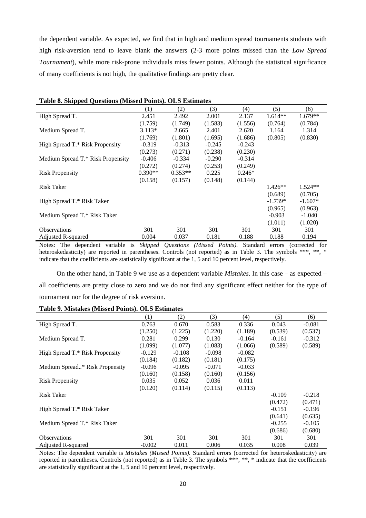the dependent variable. As expected, we find that in high and medium spread tournaments students with high risk-aversion tend to leave blank the answers (2-3 more points missed than the *Low Spread Tournament*), while more risk-prone individuals miss fewer points. Although the statistical significance of many coefficients is not high, the qualitative findings are pretty clear.

| Table of Disipped Questions (Britisted I Units). Only nothinates |           |           |          |          |           |           |
|------------------------------------------------------------------|-----------|-----------|----------|----------|-----------|-----------|
|                                                                  | (1)       | (2)       | (3)      | (4)      | (5)       | (6)       |
| High Spread T.                                                   | 2.451     | 2.492     | 2.001    | 2.137    | $1.614**$ | $1.679**$ |
|                                                                  | (1.759)   | (1.749)   | (1.583)  | (1.556)  | (0.764)   | (0.784)   |
| Medium Spread T.                                                 | $3.113*$  | 2.665     | 2.401    | 2.620    | 1.164     | 1.314     |
|                                                                  | (1.769)   | (1.801)   | (1.695)  | (1.686)  | (0.805)   | (0.830)   |
| High Spread T.* Risk Propensity                                  | $-0.319$  | $-0.313$  | $-0.245$ | $-0.243$ |           |           |
|                                                                  | (0.273)   | (0.271)   | (0.238)  | (0.230)  |           |           |
| Medium Spread T.* Risk Propensity                                | $-0.406$  | $-0.334$  | $-0.290$ | $-0.314$ |           |           |
|                                                                  | (0.272)   | (0.274)   | (0.253)  | (0.249)  |           |           |
| <b>Risk Propensity</b>                                           | $0.390**$ | $0.353**$ | 0.225    | $0.246*$ |           |           |
|                                                                  | (0.158)   | (0.157)   | (0.148)  | (0.144)  |           |           |
| <b>Risk Taker</b>                                                |           |           |          |          | $1.426**$ | $1.524**$ |
|                                                                  |           |           |          |          | (0.689)   | (0.705)   |
| High Spread T.* Risk Taker                                       |           |           |          |          | $-1.739*$ | $-1.607*$ |
|                                                                  |           |           |          |          | (0.965)   | (0.963)   |
| Medium Spread T.* Risk Taker                                     |           |           |          |          | $-0.903$  | $-1.040$  |
|                                                                  |           |           |          |          | (1.011)   | (1.020)   |
| <b>Observations</b>                                              | 301       | 301       | 301      | 301      | 301       | 301       |
| Adjusted R-squared                                               | 0.004     | 0.037     | 0.181    | 0.188    | 0.188     | 0.194     |

**Table 8. Skipped Questions (Missed Points). OLS Estimates** 

Notes: The dependent variable is *Skipped Questions (Missed Points)*. Standard errors (corrected for heteroskedasticity) are reported in parentheses. Controls (not reported) as in Table 3. The symbols \*\*\*, \*\*, \* indicate that the coefficients are statistically significant at the 1, 5 and 10 percent level, respectively.

On the other hand, in Table 9 we use as a dependent variable *Mistakes*. In this case – as expected – all coefficients are pretty close to zero and we do not find any significant effect neither for the type of tournament nor for the degree of risk aversion.

#### **Table 9. Mistakes (Missed Points). OLS Estimates**

|                                 | (1)      | (2)      | (3)      | (4)      | (5)      | (6)      |
|---------------------------------|----------|----------|----------|----------|----------|----------|
| High Spread T.                  | 0.763    | 0.670    | 0.583    | 0.336    | 0.043    | $-0.081$ |
|                                 | (1.250)  | (1.225)  | (1.220)  | (1.189)  | (0.539)  | (0.537)  |
| Medium Spread T.                | 0.281    | 0.299    | 0.130    | $-0.164$ | $-0.161$ | $-0.312$ |
|                                 | (1.099)  | (1.077)  | (1.083)  | (1.066)  | (0.589)  | (0.589)  |
| High Spread T.* Risk Propensity | $-0.129$ | $-0.108$ | $-0.098$ | $-0.082$ |          |          |
|                                 | (0.184)  | (0.182)  | (0.181)  | (0.175)  |          |          |
| Medium Spread* Risk Propensity  | $-0.096$ | $-0.095$ | $-0.071$ | $-0.033$ |          |          |
|                                 | (0.160)  | (0.158)  | (0.160)  | (0.156)  |          |          |
| <b>Risk Propensity</b>          | 0.035    | 0.052    | 0.036    | 0.011    |          |          |
|                                 | (0.120)  | (0.114)  | (0.115)  | (0.113)  |          |          |
| Risk Taker                      |          |          |          |          | $-0.109$ | $-0.218$ |
|                                 |          |          |          |          | (0.472)  | (0.471)  |
| High Spread T.* Risk Taker      |          |          |          |          | $-0.151$ | $-0.196$ |
|                                 |          |          |          |          | (0.641)  | (0.635)  |
| Medium Spread T.* Risk Taker    |          |          |          |          | $-0.255$ | $-0.105$ |
|                                 |          |          |          |          | (0.686)  | (0.680)  |
| <b>Observations</b>             | 301      | 301      | 301      | 301      | 301      | 301      |
| <b>Adjusted R-squared</b>       | $-0.002$ | 0.011    | 0.006    | 0.035    | 0.008    | 0.039    |

Notes: The dependent variable is *Mistakes (Missed Points)*. Standard errors (corrected for heteroskedasticity) are reported in parentheses. Controls (not reported) as in Table 3. The symbols \*\*\*, \*\*, \* indicate that the coefficients are statistically significant at the 1, 5 and 10 percent level, respectively.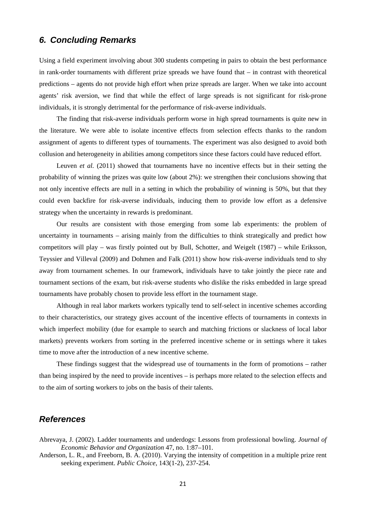## *6. Concluding Remarks*

Using a field experiment involving about 300 students competing in pairs to obtain the best performance in rank-order tournaments with different prize spreads we have found that – in contrast with theoretical predictions – agents do not provide high effort when prize spreads are larger. When we take into account agents' risk aversion, we find that while the effect of large spreads is not significant for risk-prone individuals, it is strongly detrimental for the performance of risk-averse individuals.

The finding that risk-averse individuals perform worse in high spread tournaments is quite new in the literature. We were able to isolate incentive effects from selection effects thanks to the random assignment of agents to different types of tournaments. The experiment was also designed to avoid both collusion and heterogeneity in abilities among competitors since these factors could have reduced effort.

Leuven *et al.* (2011) showed that tournaments have no incentive effects but in their setting the probability of winning the prizes was quite low (about 2%): we strengthen their conclusions showing that not only incentive effects are null in a setting in which the probability of winning is 50%, but that they could even backfire for risk-averse individuals, inducing them to provide low effort as a defensive strategy when the uncertainty in rewards is predominant.

Our results are consistent with those emerging from some lab experiments: the problem of uncertainty in tournaments – arising mainly from the difficulties to think strategically and predict how competitors will play – was firstly pointed out by Bull, Schotter, and Weigelt (1987) – while Eriksson, Teyssier and Villeval (2009) and Dohmen and Falk (2011) show how risk-averse individuals tend to shy away from tournament schemes. In our framework, individuals have to take jointly the piece rate and tournament sections of the exam, but risk-averse students who dislike the risks embedded in large spread tournaments have probably chosen to provide less effort in the tournament stage.

Although in real labor markets workers typically tend to self-select in incentive schemes according to their characteristics, our strategy gives account of the incentive effects of tournaments in contexts in which imperfect mobility (due for example to search and matching frictions or slackness of local labor markets) prevents workers from sorting in the preferred incentive scheme or in settings where it takes time to move after the introduction of a new incentive scheme.

These findings suggest that the widespread use of tournaments in the form of promotions – rather than being inspired by the need to provide incentives – is perhaps more related to the selection effects and to the aim of sorting workers to jobs on the basis of their talents.

## *References*

Abrevaya, J. (2002). Ladder tournaments and underdogs: Lessons from professional bowling. *Journal of Economic Behavior and Organization* 47, no. 1:87–101.

Anderson, L. R., and Freeborn, B. A. (2010). Varying the intensity of competition in a multiple prize rent seeking experiment. *Public Choice*, 143(1-2), 237-254.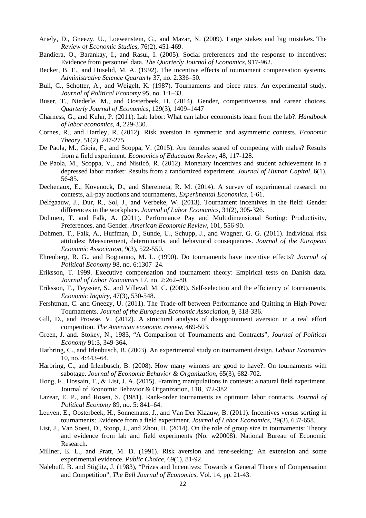- Ariely, D., Gneezy, U., Loewenstein, G., and Mazar, N. (2009). Large stakes and big mistakes. The *Review of Economic Studies*, 76(2), 451-469.
- Bandiera, O., Barankay, I., and Rasul, I. (2005). Social preferences and the response to incentives: Evidence from personnel data. *The Quarterly Journal of Economics*, 917-962.
- Becker, B. E., and Huselid, M. A. (1992). The incentive effects of tournament compensation systems. *Administrative Science Quarterly* 37, no. 2:336–50.
- Bull, C., Schotter, A., and Weigelt, K. (1987). Tournaments and piece rates: An experimental study. *Journal of Political Economy* 95, no. 1:1–33.
- Buser, T., Niederle, M., and Oosterbeek, H. (2014). Gender, competitiveness and career choices. *Quarterly Journal of Economics*, 129(3), 1409–1447
- Charness, G., and Kuhn, P. (2011). Lab labor: What can labor economists learn from the lab?. *Handbook of labor economics*, 4, 229-330.
- Cornes, R., and Hartley, R. (2012). Risk aversion in symmetric and asymmetric contests. *Economic Theory*, 51(2), 247-275.
- De Paola, M., Gioia, F., and Scoppa, V. (2015). Are females scared of competing with males? Results from a field experiment. *Economics of Education Review*, 48, 117-128.
- De Paola, M., Scoppa, V., and Nisticò, R. (2012). Monetary incentives and student achievement in a depressed labor market: Results from a randomized experiment. *Journal of Human Capital*, 6(1), 56-85.
- Dechenaux, E., Kovenock, D., and Sheremeta, R. M. (2014). A survey of experimental research on contests, all-pay auctions and tournaments, *Experimental Economics*, 1-61.
- Delfgaauw, J., Dur, R., Sol, J., and Verbeke, W. (2013). Tournament incentives in the field: Gender differences in the workplace. *Journal of Labor Economics*, 31(2), 305-326.
- Dohmen, T. and Falk, A. (2011). Performance Pay and Multidimensional Sorting: Productivity, Preferences, and Gender. *American Economic Review*, 101, 556-90.
- Dohmen, T., Falk, A., Huffman, D., Sunde, U., Schupp, J., and Wagner, G. G. (2011). Individual risk attitudes: Measurement, determinants, and behavioral consequences. *Journal of the European Economic Association*, 9(3), 522-550.
- Ehrenberg, R. G., and Bognanno, M. L. (1990). Do tournaments have incentive effects? *Journal of Political Economy* 98, no. 6:1307–24.
- Eriksson, T. 1999. Executive compensation and tournament theory: Empirical tests on Danish data. *Journal of Labor Economics* 17, no. 2:262–80.
- Eriksson, T., Teyssier, S., and Villeval, M. C. (2009). Self‐selection and the efficiency of tournaments. *Economic Inquiry*, 47(3), 530-548.
- Fershtman, C. and Gneezy, U. (2011). The Trade-off between Performance and Quitting in High-Power Tournaments. *Journal of the European Economic Association*, 9, 318-336.
- Gill, D., and Prowse, V. (2012). A structural analysis of disappointment aversion in a real effort competition. *The American economic review*, 469-503.
- Green, J. and. Stokey, N., 1983, "A Comparison of Tournaments and Contracts", *Journal of Political Economy* 91:3, 349-364.
- Harbring, C., and Irlenbusch, B. (2003). An experimental study on tournament design. *Labour Economics*  10, no. 4:443–64.
- Harbring, C., and Irlenbusch, B. (2008). How many winners are good to have?: On tournaments with sabotage. *Journal of Economic Behavior & Organization*, 65(3), 682-702.
- Hong, F., Hossain, T., & List, J. A. (2015). Framing manipulations in contests: a natural field experiment. Journal of Economic Behavior & Organization, 118, 372-382.
- Lazear, E. P., and Rosen, S. (1981). Rank-order tournaments as optimum labor contracts. *Journal of Political Economy* 89, no. 5: 841–64.
- Leuven, E., Oosterbeek, H., Sonnemans, J., and Van Der Klaauw, B. (2011). Incentives versus sorting in tournaments: Evidence from a field experiment. *Journal of Labor Economics*, 29(3), 637-658.
- List, J., Van Soest, D., Stoop, J., and Zhou, H. (2014). On the role of group size in tournaments: Theory and evidence from lab and field experiments (No. w20008). National Bureau of Economic Research.
- Millner, E. L., and Pratt, M. D. (1991). Risk aversion and rent-seeking: An extension and some experimental evidence. *Public Choice*, 69(1), 81-92.
- Nalebuff, B. and Stiglitz, J. (1983), "Prizes and Incentives: Towards a General Theory of Compensation and Competition", *The Bell Journal of Economics*, Vol. 14, pp. 21-43.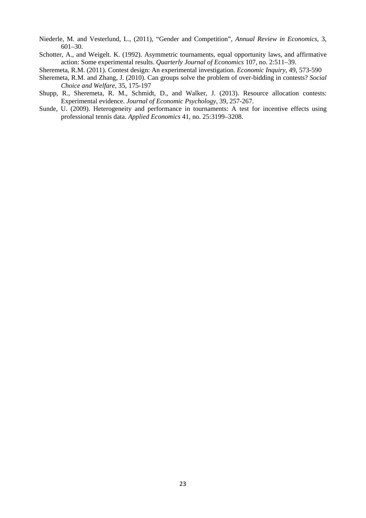- Niederle, M. and Vesterlund, L., (2011), "Gender and Competition", *Annual Review in Economics*, 3, 601–30.
- Schotter, A., and Weigelt. K. (1992). Asymmetric tournaments, equal opportunity laws, and affirmative action: Some experimental results. *Quarterly Journal of Economics* 107, no. 2:511–39.

Sheremeta, R.M. (2011). Contest design: An experimental investigation. *Economic Inquiry*, 49, 573-590

- Sheremeta, R.M. and Zhang, J. (2010). Can groups solve the problem of over-bidding in contests? *Social Choice and Welfare*, 35, 175-197
- Shupp, R., Sheremeta, R. M., Schmidt, D., and Walker, J. (2013). Resource allocation contests: Experimental evidence. *Journal of Economic Psychology*, 39, 257-267.
- Sunde, U. (2009). Heterogeneity and performance in tournaments: A test for incentive effects using professional tennis data. *Applied Economics* 41, no. 25:3199–3208.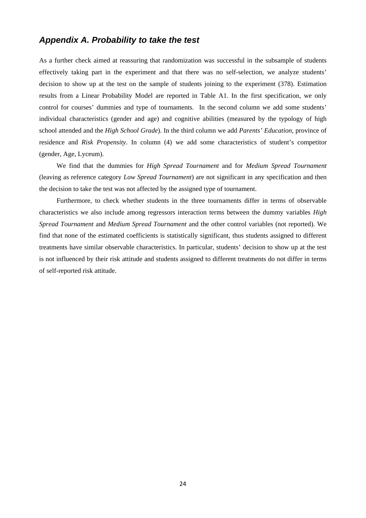## *Appendix A. Probability to take the test*

As a further check aimed at reassuring that randomization was successful in the subsample of students effectively taking part in the experiment and that there was no self-selection, we analyze students' decision to show up at the test on the sample of students joining to the experiment (378). Estimation results from a Linear Probability Model are reported in Table A1. In the first specification, we only control for courses' dummies and type of tournaments. In the second column we add some students' individual characteristics (gender and age) and cognitive abilities (measured by the typology of high school attended and the *High School Grade*). In the third column we add *Parents' Education*, province of residence and *Risk Propensity*. In column (4) we add some characteristics of student's competitor (gender, Age, Lyceum).

We find that the dummies for *High Spread Tournament* and for *Medium Spread Tournament* (leaving as reference category *Low Spread Tournament*) are not significant in any specification and then the decision to take the test was not affected by the assigned type of tournament.

Furthermore, to check whether students in the three tournaments differ in terms of observable characteristics we also include among regressors interaction terms between the dummy variables *High Spread Tournament* and *Medium Spread Tournament* and the other control variables (not reported). We find that none of the estimated coefficients is statistically significant, thus students assigned to different treatments have similar observable characteristics. In particular, students' decision to show up at the test is not influenced by their risk attitude and students assigned to different treatments do not differ in terms of self-reported risk attitude.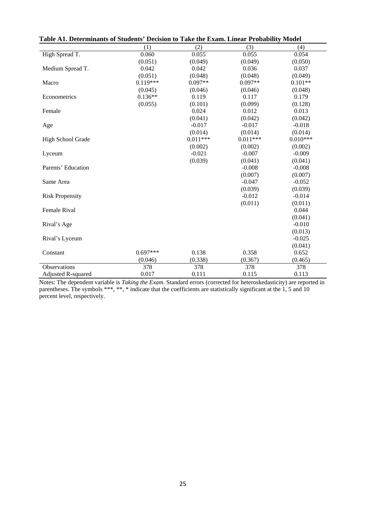| Table A1. Determinants of Students' Decision to Take the Exam. Linear Probability Model |            |            |            |            |  |
|-----------------------------------------------------------------------------------------|------------|------------|------------|------------|--|
|                                                                                         | (1)        | (2)        | (3)        | (4)        |  |
| High Spread T.                                                                          | 0.060      | 0.055      | 0.055      | 0.054      |  |
|                                                                                         | (0.051)    | (0.049)    | (0.049)    | (0.050)    |  |
| Medium Spread T.                                                                        | 0.042      | 0.042      | 0.036      | 0.037      |  |
|                                                                                         | (0.051)    | (0.048)    | (0.048)    | (0.049)    |  |
| Macro                                                                                   | $0.119***$ | $0.097**$  | $0.097**$  | $0.101**$  |  |
|                                                                                         | (0.045)    | (0.046)    | (0.046)    | (0.048)    |  |
| Econometrics                                                                            | $0.136**$  | 0.119      | 0.117      | 0.179      |  |
|                                                                                         | (0.055)    | (0.101)    | (0.099)    | (0.128)    |  |
| Female                                                                                  |            | 0.024      | 0.012      | 0.013      |  |
|                                                                                         |            | (0.041)    | (0.042)    | (0.042)    |  |
| Age                                                                                     |            | $-0.017$   | $-0.017$   | $-0.018$   |  |
|                                                                                         |            | (0.014)    | (0.014)    | (0.014)    |  |
| High School Grade                                                                       |            | $0.011***$ | $0.011***$ | $0.010***$ |  |
|                                                                                         |            | (0.002)    | (0.002)    | (0.002)    |  |
| Lyceum                                                                                  |            | $-0.021$   | $-0.007$   | $-0.009$   |  |
|                                                                                         |            | (0.039)    | (0.041)    | (0.041)    |  |
| Parents' Education                                                                      |            |            | $-0.008$   | $-0.008$   |  |
|                                                                                         |            |            | (0.007)    | (0.007)    |  |
| Same Area                                                                               |            |            | $-0.047$   | $-0.052$   |  |
|                                                                                         |            |            | (0.039)    | (0.039)    |  |
| <b>Risk Propensity</b>                                                                  |            |            | $-0.012$   | $-0.014$   |  |
|                                                                                         |            |            | (0.011)    | (0.011)    |  |
| Female Rival                                                                            |            |            |            | 0.044      |  |
|                                                                                         |            |            |            | (0.041)    |  |
| Rival's Age                                                                             |            |            |            | $-0.010$   |  |
|                                                                                         |            |            |            | (0.013)    |  |
| Rival's Lyceum                                                                          |            |            |            | $-0.025$   |  |
|                                                                                         |            |            |            | (0.041)    |  |
| Constant                                                                                | $0.697***$ | 0.138      | 0.358      | 0.652      |  |
|                                                                                         | (0.046)    | (0.338)    | (0.367)    | (0.465)    |  |
| Observations                                                                            | 378        | 378        | 378        | 378        |  |
| Adjusted R-squared                                                                      | 0.017      | 0.111      | 0.115      | 0.113      |  |

Notes: The dependent variable is *Taking the Exam*. Standard errors (corrected for heteroskedasticity) are reported in parentheses. The symbols \*\*\*, \*\*, \* indicate that the coefficients are statistically significant at the 1, 5 and 10 percent level, respectively.